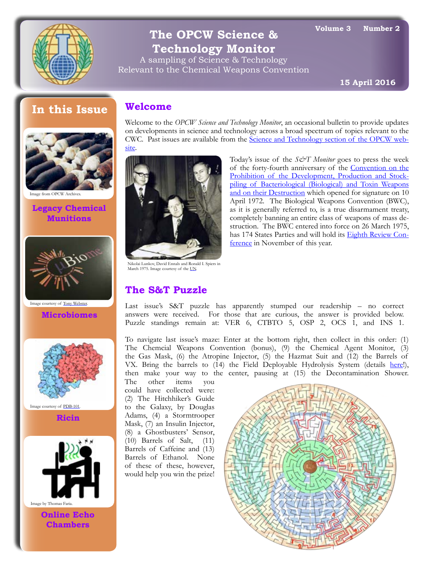

# **The OPCW Science & Technology Monitor**

A sampling of Science & Technology Relevant to the Chemical Weapons Convention

**15 April 2016**

# **In this Issue**



**Legacy Chemical Munitions**



**Microbiomes** Image courtesy of [Tony Webster.](https://www.flickr.com/photos/diversey/17424310262)



Image courtesy of [PDB-101](http://pdb101.rcsb.org/motm/161).

**Ricin**



**Online Echo Chambers**

## **Welcome**

Welcome to the *OPCW Science and Technology Monitor*, an occasional bulletin to provide updates on developments in science and technology across a broad spectrum of topics relevant to the CWC. Past issues are available from the [Science and Technology section of the OPCW web](http://www.opcw.org/special-sections/science-technology/science-technology-monitor/)[site.](http://www.opcw.org/special-sections/science-technology/science-technology-monitor/)



Nikolai Lunkov, David Ennals and Ronald I. Spiers in March 1975. Image courtesy of the [UN](https://twitter.com/ungeneva/status/646611286369943552).

## **The S&T Puzzle**

Today's issue of the *S&T Monitor* goes to press the week of the forty-fourth anniversary of the [Convention on the](http://www.un.org/disarmament/WMD/Bio/) [Prohibition of the Development, Production and Stock](http://www.un.org/disarmament/WMD/Bio/)[piling of Bacteriological \(Biological\) and Toxin Weapons](http://www.un.org/disarmament/WMD/Bio/)  [and on their Destruction](http://www.un.org/disarmament/WMD/Bio/) which opened for signature on 10 April 1972. The Biological Weapons Convention (BWC), as it is generally referred to, is a true disarmament treaty, completely banning an entire class of weapons of mass destruction. The BWC entered into force on 26 March 1975, has 174 States Parties and will hold its [Eighth Review Con](http://www.unog.ch/80256EE600585943/(httpPages)/57A6E253EDFB1111C1257F39003CA243?OpenDocument)[ference](http://www.unog.ch/80256EE600585943/(httpPages)/57A6E253EDFB1111C1257F39003CA243?OpenDocument) in November of this year.

Last issue's S&T puzzle has apparently stumped our readership – no correct answers were received. For those that are curious, the answer is provided below. Puzzle standings remain at: VER 6, CTBTO 5, OSP 2, OCS 1, and INS 1.

To navigate last issue's maze: Enter at the bottom right, then collect in this order: (1) The Chemcial Weapons Convention (bonus), (9) the Chemical Agent Monitor, (3) the Gas Mask, (6) the Atropine Injector, (5) the Hazmat Suit and (12) the Barrels of VX. Bring the barrels to (14) the Field Deployable Hydrolysis System (details [here!](http://archive.defense.gov/home/features/2014/0114_caperay/pdfs/JPME_fs_FDHS_111213.pdf)), then make your way to the center, pausing at (15) the Decontamination Shower.

The other items you could have collected were: (2) The Hitchhiker's Guide to the Galaxy, by Douglas Adams, (4) a Stormtrooper Mask, (7) an Insulin Injector, (8) a Ghostbusters' Sensor, (10) Barrels of Salt, (11) Barrels of Caffeine and (13) Barrels of Ethanol. None of these of these, however, would help you win the prize!

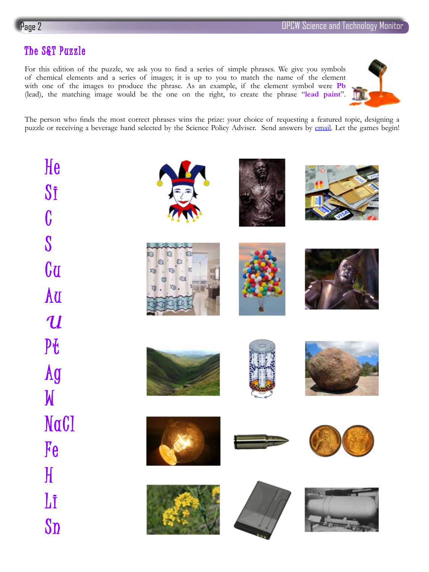# The S&T Puzzle

For this edition of the puzzle, we ask you to find a series of simple phrases. We give you symbols of chemical elements and a series of images; it is up to you to match the name of the element with one of the images to produce the phrase. As an example, if the element symbol were **Pb** (lead), the matching image would be the one on the right, to create the phrase "**lead paint**".



The person who finds the most correct phrases wins the prize: your choice of requesting a featured topic, designing a puzzle or receiving a beverage hand selected by the Science Policy Adviser. Send answers by [email](mailto:SciTech@OPCW.org). Let the games begin!

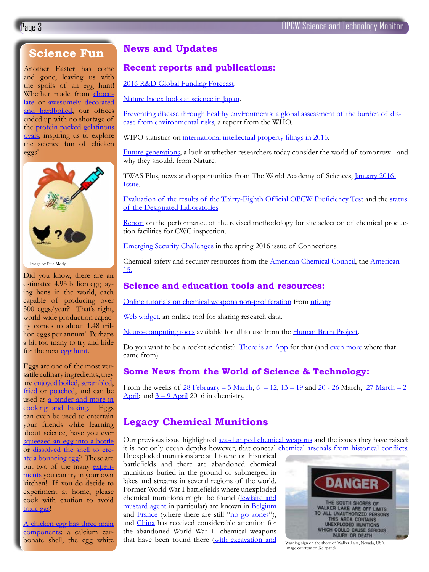# **Science Fun**

Another Easter has come and gone, leaving us with the spoils of an egg hunt! Whether made from [choco](https://www.theguardian.com/science/brain-flapping/2016/mar/24/chocolate-eggs-easter-scientific-explanation)[late](https://www.theguardian.com/science/brain-flapping/2016/mar/24/chocolate-eggs-easter-scientific-explanation) or awesomely decorated [and hardboiled](https://www.youtube.com/watch?v=lMQ_qhEeyl8), our offices ended up with no shortage of the [protein packed gelatinous](https://www.exploratorium.edu/cooking/eggs/eggcomposition.html)  [ovals;](https://www.exploratorium.edu/cooking/eggs/eggcomposition.html) inspiring us to explore the science fun of chicken eggs!



Did you know, there are an estimated 4.93 billion egg laying hens in the world, each capable of producing over 300 eggs/year? That's right, world-wide production capacity comes to about 1.48 trillion eggs per annum! Perhaps a bit too many to try and hide for the next [egg hunt.](http://blog.donders.ru.nl/?p=2352&lang=en)

Eggs are one of the most versatile culinary ingredients; they are [enjoyed](http://www.smithsonianmag.com/arts-culture/how-do-you-cook-the-perfect-egg-87844887/?no-ist) [boiled](http://www.smithsonianmag.com/smart-news/science-cooking-perfect-hard-boiled-egg-180951447/), [scrambled,](http://cooking.stackexchange.com/questions/49944/science-of-fast-high-heat-vs-slow-low-heat-scrambled-eggs-and-omelets) [fried](https://www.finedininglovers.com/stories/how-to-boil-eggs/) or [poached](http://foodslashscience.blogspot.nl/2010/01/science-behind-poaching-egg.html), and can be used as a binder and more in [cooking and baking.](https://bondingwithfood.wordpress.com/2010/03/08/the-incredible-egg/) Eggs can even be used to entertain your friends while learning about science, have you ever [squeezed an egg into a bottle](https://www.youtube.com/watch?v=28TIyWdfxxc) or [dissolved the shell to cre](https://www.youtube.com/watch?v=fEYS5i5P7YY)[ate a bouncing egg](https://www.youtube.com/watch?v=fEYS5i5P7YY)? These are but two of the many experiments you can try in your own kitchen! If you do decide to experiment at home, please cook with caution to avoid [toxic gas!](http://io9.gizmodo.com/when-you-overcook-eggs-you-turn-them-into-chemical-wea-1682497376)

[A chicken egg has three main](http://www.compoundchem.com/2016/03/26/eggs/)  [components](http://www.compoundchem.com/2016/03/26/eggs/): a calcium carbonate shell, the egg white

## **News and Updates**

### **Recent reports and publications:**

[2016 R&D Global Funding Forecast.](https://www.iriweb.org/sites/default/files/2016GlobalR%26DFundingForecast_2.pdf)

[Nature Index looks at science in Japan.](http://www.natureindex.com/supplements/nature-index-2016-japan/index)

[Preventing disease through healthy environments: a global assessment of the burden of dis](http://who.int/quantifying_ehimpacts/publications/preventing-disease/en/)[ease from environmental risks](http://who.int/quantifying_ehimpacts/publications/preventing-disease/en/), a report from the WHO.

WIPO statistics on [international intellectual property filings in 2015](http://www.wipo.int/pressroom/en/articles/2016/article_0002.html).

[Future generations](http://www.nature.com/news/future-generations-1.19430), a look at whether researchers today consider the world of tomorrow - and why they should, from Nature.

TWAS Plus, news and opportunities from The World Academy of Sciences, [January 2016](http://us10.campaign-archive2.com/?u=bb4e73b701077857682f69a6a&id=bf744417a4)  [Issue](http://us10.campaign-archive2.com/?u=bb4e73b701077857682f69a6a&id=bf744417a4).

[Evaluation of the results of the Thirty-Eighth Official OPCW Proficiency Test](https://www.opcw.org/fileadmin/OPCW/S_series/2016/en/s-1368-2016_e_.pdf) and the [status](https://www.opcw.org/fileadmin/OPCW/S_series/2016/en/s-1369-2016_e_.pdf)  [of the Designated Laboratories](https://www.opcw.org/fileadmin/OPCW/S_series/2016/en/s-1369-2016_e_.pdf).

[Report](https://www.opcw.org/fileadmin/OPCW/S_series/2016/en/s-1348-2016_e_.pdf) on the performance of the revised methodology for site selection of chemical production facilities for CWC inspection.

[Emerging Security Challenges](http://connections-qj.org/) in the spring 2016 issue of Connections.

Chemical safety and security resources from the [American Chemical Council,](https://www.americanchemistry.com/Policy/Security) the American 15.

### **Science and education tools and resources:**

[Online tutorials on chemical weapons non-proliferation](http://tutorials.nti.org/chemical-weapons-nonproliferation/introduction/) from [nti.org.](http://www.nti.org/)

[Web widget](http://www.nature.com/news/web-widget-nudges-scientists-to-share-their-data-1.19542), an online tool for sharing research data.

[Neuro-computing tools](http://www.nature.com/news/flagship-brain-project-releases-neuro-computing-tools-1.19672) available for all to use from the [Human Brain Project](https://www.humanbrainproject.eu/).

Do you want to be a rocket scientist? [There is an App](http://sciencenetlinks.com/tools/rocket-science-101-app/) for that (and [even more](http://sciencenetlinks.com/tools/) where that came from).

### **Some News from the World of Science & Technology:**

From the weeks of  $28$  [February](http://www.compoundchem.com/2016/03/06/twic06032016/) – 5 March;  $6 - 12$ ,  $13 - 19$  and  $20 - 26$  March;  $27$  March – 2 April; and  $3 - 9$  April 2016 in chemistry.

## **Legacy Chemical Munitions**

Our previous issue highlighted [sea-dumped chemical weapons](http://www.opcw.org/fileadmin/OPCW/Science_Technology/Monitor/OPCW_S_T_Monitor_3_1.pdf) and the issues they have raised; it is not only ocean depths however, that conceal chemical arsenals from historical conflicts. Unexploded munitions are still found on historical

battlefields and there are abandoned chemical munitions buried in the ground or submerged in lakes and streams in several regions of the world. Former World War I battlefields where unexploded chemical munitions might be found [\(lewisite and](http://www.springer.com/us/book/9780792351757?token=prtst0416p)  [mustard agent](http://www.springer.com/us/book/9780792351757?token=prtst0416p) in particular) are known in [Belgium](http://www.bbc.com/news/world-europe-26663643?ocid) and [France](http://www.robindesbois.org/dossiers/dechets-de-guerre/2012/Inventaire-des-dechets-de-guerre-2008-2011.html) (where there are still ["no go zones"](http://www.messynessychic.com/2015/05/26/the-real-no-go-zone-of-france-a-forbidden-no-mans-land-poisoned-by-war/)); and [China](https://www.bicc.de/uploads/tx_bicctools/paper13.pdf) has received considerable attention for the abandoned World War II chemical weapons that have been found there ([with excavation and](http://www.rsc.org/chemistryworld/2014/06/japan-second-world-war-chemical-weapons-meet-explosive-end) Warning sign on the shore of Walker Lake, Nevada, USA.



Image courtesy of [Kelapstick](https://commons.wikimedia.org/wiki/File:Walker_lake_munitions_warning.JPG).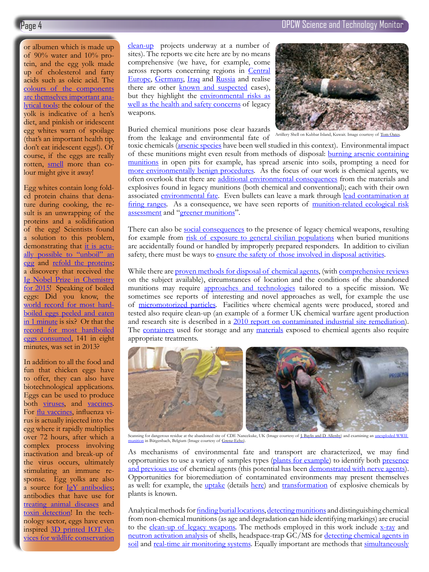or albumen which is made up of  $90\%$  water and  $10\%$  protein, and the egg yolk made up of cholesterol and fatty acids such as oleic acid. The [colours of the components](http://www.livescience.com/10043-dozen-extraordinary-egg-facts.html) [are themselves important ana](http://www.livescience.com/10043-dozen-extraordinary-egg-facts.html)[lytical tools:](http://www.livescience.com/10043-dozen-extraordinary-egg-facts.html) the colour of the yolk is indicative of a hen's diet, and pinkish or iridescent egg whites warn of spoilage (that's an important health tip, don't eat iridescent eggs!). Of course, if the eggs are really rotten, smell more than colour might give it away!

Egg whites contain long folded protein chains that denature during cooking, the result is an unwrapping of the proteins and a solidification of the egg! Scientists found a solution to this problem, demonstrating that [it is actu](http://phys.org/news/2015-01-chemists-unboil-eggs.html)[ally possible to "unboil" an](http://phys.org/news/2015-01-chemists-unboil-eggs.html) [egg](http://phys.org/news/2015-01-chemists-unboil-eggs.html) and [refold the proteins](http://onlinelibrary.wiley.com/doi/10.1002/cbic.201402427/abstract); a discovery that received the [Ig Nobel Prize in Chemistry](http://www.rsc.org/chemistryworld/2015/09/chemistry-ig-nobel-2015-unboiled-egg) [for 2015](http://www.rsc.org/chemistryworld/2015/09/chemistry-ig-nobel-2015-unboiled-egg)! Speaking of boiled eggs: Did you know, the [world record for most hard](http://www.guinnessworldrecords.com/world-records/most-boiled-eggs-to-be-peeled-and-eaten-in-a-minute)[boiled eggs peeled and eaten](http://www.guinnessworldrecords.com/world-records/most-boiled-eggs-to-be-peeled-and-eaten-in-a-minute) [in 1 minute](http://www.guinnessworldrecords.com/world-records/most-boiled-eggs-to-be-peeled-and-eaten-in-a-minute) is six? Or that the [record for most hardboiled](http://www.wdrb.com/story/23618230/joey-chestnut-wins-radcliff-egg-eating-contest) [eggs consumed,](http://www.wdrb.com/story/23618230/joey-chestnut-wins-radcliff-egg-eating-contest) 141 in eight minutes, was set in 2013?

In addition to all the food and fun that chicken eggs have to offer, they can also have biotechnological applications. Eggs can be used to produce both [viruses,](http://www.virology.ws/2009/12/10/influenza-virus-growth-in-eggs/) and [vaccines](http://www.gsk.com/en-gb/behind-the-science/patients-and-consumers/eggs-in-manufacturing/). For [flu vaccines](http://www.telegraph.co.uk/finance/newsbysector/pharmaceuticalsandchemicals/11138586/how-a-flu-vaccine-is-made-from-chicken-egg-to-syringe.html), influenza virus is actually injected into the egg where it rapidly multiplies over 72 hours, after which a complex process involving inactivation and break-up of the virus occurs, ultimately stimulating an immune response. Egg yolks are also a source for [IgY antibodies](http://www.ncbi.nlm.nih.gov/pubmed/16180988); antibodies that have use for [treating animal diseases](http://www.sciencedirect.com/science/article/pii/S0734975011001133) and [toxin detection](http://www.tandfonline.com/doi/abs/10.1080/09540105.2015.1126809)! In the technology sector, eggs have even inspired [3D printed IOT de](http://www.wired.com/2016/04/future-wildlife-conservation-electronic-vulture-egg/)[vices for wildlife conservation](http://www.wired.com/2016/04/future-wildlife-conservation-electronic-vulture-egg/)

[clean-up](http://www.rsc.org/chemistryworld/2014/06/japan-second-world-war-chemical-weapons-meet-explosive-end) projects underway at a number of sites). The reports we cite here are by no means comprehensive (we have, for example, come across reports concerning regions in [Central](http://www.prague2003.fsu.edu/content/pdf/232.pdf)  [Europe,](http://www.prague2003.fsu.edu/content/pdf/232.pdf) [Germany,](http://link.springer.com/chapter/10.1007%2F978-94-015-9115-7_3) [Iraq](http://www.nytimes.com/2014/10/24/world/middleeast/questions-answers-abandoned-chemical-weapons-in-iraq.html) and [Russia](http://www.washingtonpost.com/wp-srv/inatl/longterm/coldwar/leonidovkaa.htm) and realise there are other [known and suspected](http://www.armscontrol.org/print/2748) cases), but they highlight the [environmental risks as](https://sites.google.com/site/imcsengineers/Home/technical-articles/old-chemical-weapons) [well as the health and safety concerns](https://sites.google.com/site/imcsengineers/Home/technical-articles/old-chemical-weapons) of legacy weapons.

Buried chemical munitions pose clear hazards from the leakage and environmental fate of

Page 4 OPCW Science and Technology Monitor



Artillery Shell on Kubbar Island, Kuwait. Image courtesy of [Tom Oates](https://commons.wikimedia.org/wiki/File:Irakian_corroded_shell.jpg).

toxic chemicals ([arsenic species](http://www.scientific.net/AMR.955-959.1194) have been well studied in this context). Environmental impact of these munitions might even result from methods of disposal: [burning arsenic containing](http://www.sciencedirect.com/science/article/pii/S0048969716301115)  [munitions](http://www.sciencedirect.com/science/article/pii/S0048969716301115) in open pits for example, has spread arsenic into soils, prompting a need for [more environmentally benign procedures](http://link.springer.com/chapter/10.1007%2F978-94-015-9115-7_19#page-1). As the focus of our work is chemical agents, we often overlook that there are [additional environmental consequences](http://www.sciencedirect.com/science/article/pii/S0301479703002135) from the materials and explosives found in legacy munitions (both chemical and conventional); each with their own associated [environmental fate.](http://pubs.acs.org/isbn/9780841226326) Even bullets can leave a mark through [lead contamination at](https://www.princeton.edu/~rmizzo/firingrange.htm) [firing ranges.](https://www.princeton.edu/~rmizzo/firingrange.htm) As a consequence, we have seen reports of [munition-related ecological risk](http://www.crcnetbase.com/doi/abs/10.1201/9781420004342.ch12) [assessment](http://www.crcnetbase.com/doi/abs/10.1201/9781420004342.ch12) and ["greener munitions"](http://www.mta.ro/wp-content/uploads/2015/12/Rotariu_Traian_GSEBS_Advances-Greener-Munitions-and-Energetics_MTA_2015.pdf).

There can also be [social consequences](https://www.nonproliferation.org/wp-content/uploads/npr/deng43.pdf) to the presence of legacy chemical weapons, resulting for example from [risk of exposure to general civilian populations](http://www.telegraph.co.uk/history/britain-at-war/10172232/Lethal-relics-from-WW1-are-still-emerging.html) when buried munitions are accidentally found or handled by improperly prepared responders. In addition to civilian safety, there must be ways to [ensure the safety of those involved in disposal activities.](http://link.springer.com/chapter/10.1007%2F1-4020-3137-8_15)

While there are [proven methods for disposal of chemical agents](http://www.environet.eu/pub/pubwis/rura/7402x0187.pdf), (with [comprehensive reviews](http://pubs.acs.org/doi/abs/10.1021/cr100193y?journalCode=chreay) on the subject available), circumstances of location and the conditions of the abandoned munitions may require [approaches and technologies](http://www.sciencedirect.com/science/article/pii/S1878029612005646) tailored to a specific mission. We sometimes see reports of interesting and novel approaches as well, for example the use of [micromotorized particles.](http://pubs.acs.org/doi/abs/10.1021/nn505029k) Facilities where chemical agents were produced, stored and tested also require clean-up (an example of a former UK chemical warfare agent production and research site is described in a [2010 report on contaminated industrial site remediation\)](http://www.icevirtuallibrary.com/doi/abs/10.1680/warm.2010.163.3.95). The [containers](http://pubs.acs.org/doi/abs/10.1021/es981258g?journalCode=esthag) used for storage and any [materials](https://cfpub.epa.gov/si/si_public_record_report.cfm?dirEntryId=309231) exposed to chemical agents also require appropriate treatments.



Scanning for dangerous residue at the abandoned site of CDE Nancekuke, UK (Image courtesy of [J. Baylis and D. Allenby](http://www.icevirtuallibrary.com/doi/abs/10.1680/warm.2010.163.3.95)) and examining an unexploded WWII [munition](http://www.mil.be/nl/artikel/bom-butgenbach-was-blindganger) in Bütgenbach, Belgium (Image courtesy of [Grenz-Echo\)](http://www.grenzecho.net/).

As mechanisms of environmental fate and transport are characterized, we may find opportunities to use a variety of samples types ([plants for example](http://pubs.rsc.org/en/content/articlelanding/2012/ay/c2ay25883h#!divAbstract)) to identify both [presence](http://rspa.royalsocietypublishing.org/content/470/2168/20140076) [and previous use](http://rspa.royalsocietypublishing.org/content/470/2168/20140076) of chemical agents (this potential has been [demonstrated with nerve agents\)](http://www.rsc.org/chemistryworld/2012/10/plants-detect-nerve-agents). Opportunities for bioremediation of contaminated environments may present themselves as well: for example, the *uptake* (details [here\)](http://science.sciencemag.org/content/349/6252/1072) and *transformation* of explosive chemicals by plants is known.

Analytical methods for [finding burial locations](http://www.scientific.net/AMR.250-253.3868), [detecting munitions](http://www.scientific.net/AMR.718-720.891) and distinguishing chemical from non-chemical munitions (as age and degradation can hide identifying markings) are crucial to the [clean-up of legacy weapons.](http://www.sciencedirect.com/science/article/pii/S1878029612005622) The methods employed in this work include [x-ray](http://www.peoacwa.army.mil/wp-content/uploads/X-ray_assessment_report_Final.pdf) and [neutron activation analysis](http://ieeexplore.ieee.org/xpl/login.jsp?tp=&arnumber=173218&url=http%3A%2F%2Fieeexplore.ieee.org%2Fiel1%2F23%2F4444%2F00173218.pdf%3Farnumber%3D173218) of shells, headspace-trap GC/MS for [detecting chemical agents in](http://www.sciencedirect.com/science/article/pii/S0021967310001706)  [soil](http://www.sciencedirect.com/science/article/pii/S0021967310001706) and [real-time air monitoring systems](http://pubs.acs.org/doi/abs/10.1021/ac504001e). Equally important are methods that [simultaneously](http://onlinelibrary.wiley.com/doi/10.1002/aoc.1109/abstract)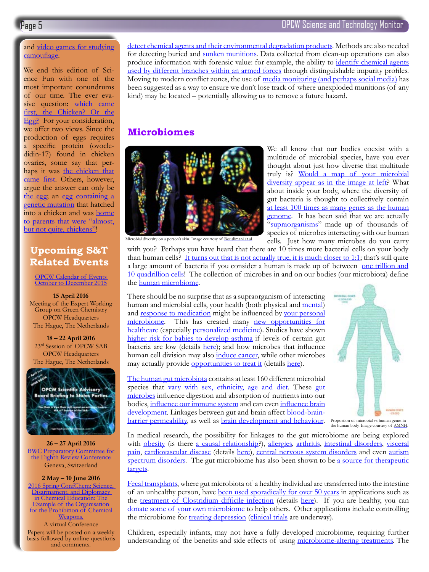### and [video games for studying](http://nightjar.exeter.ac.uk/egglab/) [camouflage](http://nightjar.exeter.ac.uk/egglab/).

We end this edition of Science Fun with one of the most important conundrums of our time. The ever evasive question: [which came](https://www.youtube.com/watch?v=1a8pI65emDE) [first, the Chicken? Or the](https://www.youtube.com/watch?v=1a8pI65emDE) [Egg?](https://www.youtube.com/watch?v=1a8pI65emDE) For your consideration, we offer two views. Since the production of eggs requires a specific protein (ovocledidin-17) found in chicken ovaries, some say that perhaps it was [the chicken that](http://gizmodo.com/5587134/scientist-we-have-proof-that-the-chicken-came-before-the-egg) [came first](http://gizmodo.com/5587134/scientist-we-have-proof-that-the-chicken-came-before-the-egg). Others, however, argue the answer can only be [the egg](http://www.popsci.com/science/article/2013-02/fyi-which-came-first-chicken-or-egg); an [egg containing a](http://science.howstuffworks.com/life/genetic/question85.htm) [genetic mutation](http://science.howstuffworks.com/life/genetic/question85.htm) that hatched into a chicken and was [borne](http://www.iflscience.com/plants-and-animals/what-came-first-chicken-or-egg) [to parents that were "almost,](http://www.iflscience.com/plants-and-animals/what-came-first-chicken-or-egg) [but not quite, chickens"](http://www.iflscience.com/plants-and-animals/what-came-first-chicken-or-egg)!

# **Upcoming S&T Related Events**

[OPCW Calendar of Events](https://www.opcw.org/fileadmin/OPCW/S_series/2016/en/s-1352-2016_e_.pdf)  [October to December 2015](https://www.opcw.org/fileadmin/OPCW/S_series/2016/en/s-1352-2016_e_.pdf)

**15 April 2016** Meeting of the Expert Working Group on Green Chemistry OPCW Headquarters The Hague, The Netherlands

**18 – 22 April 2016** 23rd Session of OPCW SAB OPCW Headquarters The Hague, The Netherlands



**26 – 27 April 2016 BWC Preparatory Committee for** [the Eighth Review Conference](http://www.unog.ch/80256EE600585943/(httpPages)/EA67F4ECEF3FD3C4C1257F39003C1347?OpenDocument) Geneva, Switzerland

#### **2 May – 10 June 2016**

[2016 Spring ConfChem: Science,](http://confchem.ccce.divched.org/2016SpringConfChem)  Disarmament, and Diplomacy [in Chemical Education: The](http://confchem.ccce.divched.org/2016SpringConfChem)  [Example of the Organisation](http://confchem.ccce.divched.org/2016SpringConfChem)  [for the Prohibition of Chemical](http://confchem.ccce.divched.org/2016SpringConfChem)  [Weapons.](http://confchem.ccce.divched.org/2016SpringConfChem) A virtual Conference Papers will be posted on a weekly basis followed by online questions and comments.

[detect chemical agents and their environmental degradation products.](http://onlinelibrary.wiley.com/doi/10.1002/aoc.1109/abstract) Methods are also needed for detecting buried and [sunken munitions.](http://www.scientific.net/AMR.878.558) Data collected from clean-up operations can also produce information with forensic value: for example, the ability to [identify chemical agents](http://www.sciencedirect.com/science/article/pii/S002196730501928X) [used by different branches within an armed forces](http://www.sciencedirect.com/science/article/pii/S002196730501928X) through distinguishable impurity profiles. Moving to modern conflict zones, the use of [media monitoring \(and perhaps social media\)](http://www.scidev.net/global/conflict/analysis-blog/view-on-private-sector-media-map-cluster-bomb-legacy.html) has been suggested as a way to ensure we don't lose track of where unexploded munitions (of any kind) may be located – potentially allowing us to remove a future hazard.

## **Microbiomes**



We all know that our bodies coexist with a multitude of microbial species, have you ever thought about just how diverse that multitude truly is? [Would a map of your microbial](http://www.pnas.org/content/112/17/E2120.full.pd)  [diversity appear as in the image at left](http://www.pnas.org/content/112/17/E2120.full.pd)? What about inside your body, where the diversity of gut bacteria is thought to collectively contain [at least 100 times as many genes as the human](http://www.ncbi.nlm.nih.gov/pmc/articles/PMC3027896/)  [genome](http://www.ncbi.nlm.nih.gov/pmc/articles/PMC3027896/). It has been said that we are actually ["supraorganisms](http://www.ncbi.nlm.nih.gov/pmc/articles/PMC3709439/)" made up of thousands of species of microbes interacting with our human cells. Just how many microbes do you carry

Microbial diversity on a person's skin. Image courtesy of [Bouslimani et al](http://www.pnas.org/content/112/17/E2120.full.pd).

with you? Perhaps you have heard that there are 10 times more bacterial cells on your body than human cells? [It turns out that is not actually true, it is much closer to 1:1](http://www.nature.com/news/scientists-bust-myth-that-our-bodies-have-more-bacteria-than-human-cells-1.19136); that's still quite a large amount of bacteria if you consider a human is made up of between [one trillion and](http://www.tandfonline.com/doi/full/10.3109/03014460.2013.807878) [10 quadrillion cells](http://www.tandfonline.com/doi/full/10.3109/03014460.2013.807878)! The collection of microbes in and on our bodies (our microbiota) define the [human microbiome](http://www.nih.gov/news-events/news-releases/nih-human-microbiome-project-defines-normal-bacterial-makeup-body).

There should be no surprise that as a supraorganism of interacting human and microbial cells, your health (both physical and [mental\)](https://www.sciencenews.org/article/microbes-can-play-games-mind) and [response to medication](https://www.technologyreview.com/s/600747/unraveling-the-mysterious-function-of-the-microbiome/) might be influenced by your personal [microbiome.](http://www.nature.com/nature/supplements/innovationsin/microbiome/) This has created many new opportunities for [healthcare](http://www.nature.com/news/microbiome-therapy-gains-market-traction-1.15210) (especially [personalized medicine](http://onlinelibrary.wiley.com/doi/10.1002/ddr.21095/abstract)). Studies have shown [higher risk for babies to develop asthma](https://www.sciencenews.org/article/babies-low-key-gut-bacteria-higher-risk-asthma) if levels of certain gut bacteria are low (details [here](http://stm.sciencemag.org/content/7/307/307fs39)); and how microbes that influence human cell division may also [induce cancer](http://jmm.microbiologyresearch.org/content/journal/jmm/10.1099/jmm.0.007302-0#tab2), while other microbes may actually provide [opportunities to treat it](http://www.popsci.com/microbiome-may-hold-key-cancer-treatment) (details [here\)](http://science.sciencemag.org/content/348/6230/80).

[The human gut microbiota](http://www.nature.com/nature/journal/v464/n7285/full/nature08821.html) contains at least 160 different microbial species that [vary with sex, ethnicity, age and diet](http://www.gastrojournal.org/article/S0016-5085(14)00143-7/abstract?referrer=http%3A%2F%2Fwww.ncbi.nlm.nih.gov%2Fpubmed%2F24486050%2F). These [gut](http://www.sciencedirect.com/science/article/pii/S1075996405000685) [microbes](http://www.sciencedirect.com/science/article/pii/S1075996405000685) influence digestion and absorption of nutrients into our bodies, [influence our immune system](http://www.sciencedirect.com/science/article/pii/S0165247805000052) and can even [influence brain](http://www.nature.com/news/the-tantalizing-links-between-gut-microbes-and-the-brain-1.18557)  [development](http://www.nature.com/news/the-tantalizing-links-between-gut-microbes-and-the-brain-1.18557). Linkages between gut and brain affect **[blood-brain](http://stm.sciencemag.org/content/6/263/263ra158)**[barrier permeability](http://stm.sciencemag.org/content/6/263/263ra158), as well as [brain development and behaviour.](http://www.pnas.org/content/108/7/3047)



Proportion of microbial vs human genes in the human body. Image courtesy of  $\Delta$ MNH.

In medical research, the possibility for linkages to the gut microbiome are being explored with [obesity](http://science.time.com/2013/08/29/you-are-your-bacteria-how-the-gut-microbiome-influences-health/) (is there [a causal relationship?](http://www.sciencedirect.com/science/article/pii/S2212877812000051)), [allergies,](http://www.nature.com/nature/journal/v479/n7374_supp/full/479S5a.html) [arthritis](http://www.ncbi.nlm.nih.gov/pmc/articles/PMC3275101/), [intestinal disorders,](http://www.ncbi.nlm.nih.gov/pmc/articles/PMC3561825/) [visceral](http://www.jnmjournal.org/journal/view.html?uid=943&vmd=Full) [pain](http://www.jnmjournal.org/journal/view.html?uid=943&vmd=Full), [cardiovascular disease](http://www.popsci.com/microbial-contribution-to-cardiovascular-disease) (details [here\)](http://www.cell.com/cell/fulltext/S0092-8674(16)30113-1), [central nervous system disorders](http://www.ncbi.nlm.nih.gov/pmc/articles/PMC4062078/) and even [autism](http://www.clinicaltherapeutics.com/article/S0149-2918(15)00225-8/abstract) [spectrum disorders.](http://www.clinicaltherapeutics.com/article/S0149-2918(15)00225-8/abstract) The gut microbiome has also been shown to be [a source for therapeutic](http://www.ncbi.nlm.nih.gov/pmc/articles/PMC3679281/) [targets.](http://www.ncbi.nlm.nih.gov/pmc/articles/PMC3679281/)

[Fecal transplants](http://www.ncbi.nlm.nih.gov/pmc/articles/PMC4749851/), where gut microbiota of a healthy individual are transferred into the intestine of an unhealthy person, have [been used sporadically for over 50 years](http://www.ncbi.nlm.nih.gov/pubmed/22183182/) in applications such as the [treatment of Clostridium difficile infection](https://www.sciencenews.org/article/poop-transplant-pills-treat-intestinal-infection) (details [here](http://jama.jamanetwork.com/article.aspx?articleid=1916296)). If you are healthy, you can [donate some of your own microbiome](http://www.openbiome.org/) to help others. Other applications include controlling the microbiome for [treating depression](http://www.scientificamerican.com/article/mental-health-may-depend-on-creatures-in-the-gut/) [\(clinical trials](https://clinicaltrials.gov/ct2/show/NCT02330068) are underway).

Children, especially infants, may not have a fully developed microbiome, requiring further understanding of the benefits and side effects of using [microbiome-altering treatments](http://www.nature.com/pr/journal/vaop/ncurrent/abs/pr201648a.html). The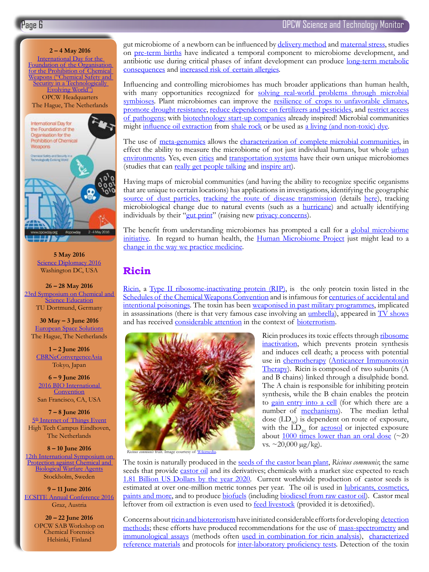## Page 6  $\blacksquare$  OPCW Science and Technology Monitor



#### **5 May 2016** [Science Diplomacy 2016](http://www.aaas.org/sciencediplomacy2016) Washington DC, USA

**26 – 28 May 2016** 23rd Symposium on Chemical and **[Science Education](http://www.idn.uni-bremen.de/chemiedidaktik/symp2016/index.html)** TU Dortmund, Germany

**30 May – 3 June 2016** [European Space Solutions](http://www.european-space-solutions.eu/) The Hague, The Netherlands

**1 – 2 June 2016** [CBRNeConvergenceAsia](http://www.cbrneworld.com/cbrneconvergenceasia#axzz3wWAsyOcZ) Tokyo, Japan

**6 – 9 June 2016** [2016 BIO International](http://convention.bio.org/2016/)  **[Convention](http://convention.bio.org/2016/)** San Francisco, CA, USA

**7 – 8 June 2016**  $5<sup>th</sup>$  Internet of Things Event High Tech Campus Eindhoven, The Netherlands

**8 – 10 June 2016** [12th International Symposium on](http://www.foi.se/cbw)  Protection against Chemical and **[Biological Warfare Agents](http://www.foi.se/cbw)** Stockholm, Sweden

**9 – 11 June 2016** [ECSITE Annual Conference 2016](http://www.ecsite.eu/annual-conference) Graz, Austria

**20 – 22 June 2016** OPCW SAB Workshop on Chemical Forensics Helsinki, Finland

gut microbiome of a newborn can be influenced by [delivery method](http://www.pnas.org/content/107/26/11971.abstract) and [maternal stress](http://press.endocrine.org/doi/10.1210/en.2015-1177), studies on [pre-term births](http://microbiomejournal.biomedcentral.com/articles/10.1186/2049-2618-1-20) have indicated a temporal component to microbiome development, and antibiotic use during critical phases of infant development can produce [long-term metabolic](http://www.cell.com/abstract/S0092-8674(14)00821-6)  [consequences](http://www.cell.com/abstract/S0092-8674(14)00821-6) and [increased risk of certain allergies.](http://journals.lww.com/epidem/Citation/2013/03000/Mother_s_and_Offspring_s_Use_of_Antibiotics_and.19.aspx)

Influencing and controlling microbiomes has much broader applications than human health, with many opportunities recognized for solving real-world problems through microbial [symbioses.](http://www.sciencedirect.com/science/article/pii/S095816691500107X) Plant microbiomes can improve the [resilience of crops to unfavorable climates,](http://blogs.scientificamerican.com/guest-blog/turning-to-bacteria-to-fight-the-effects-of-climate-change/) [promote drought resistance,](http://journals.plos.org/plosone/article?id=10.1371/journal.pone.0048479) [reduce dependence on fertilizers and pesticides,](http://www.scientificamerican.com/article/microbes-help-grow-better-crops/) and [restrict access](http://onlinelibrary.wiley.com/doi/10.1111/j.1365-313X.2012.05116.x/full) [of pathogens;](http://onlinelibrary.wiley.com/doi/10.1111/j.1365-313X.2012.05116.x/full) with [biotechnology start-up companies](https://www.technologyreview.com/s/600831/startup-bets-its-magic-touch-on-seeds-can-boost-crop-yields/) already inspired! Microbial communities might [influence oil extraction](http://www.mcclatchydc.com/news/nation-world/national/article29115688.html) from [shale rock](http://www.chemistryviews.org/details/news/8213911/Searching_for_Microbes_in_Shale_Rock.html) or be used as [a living \(and non-toxic\) dye](http://www.popsci.com/in-living-color-microbes-make-tomorrows-ink).

The use of [meta-genomics](http://sciencearchive.org.au/nova/newscientist/ns_diagrams/078ns_002image1.jpg) allows the [characterization of complete microbial communities,](http://www.ncbi.nlm.nih.gov/pmc/articles/PMC3351745/) in effect the ability to measure the microbiome of not just individual humans, but whole urban [environments.](http://www.metasub.org/) Yes, even [cities](http://www.pathomap.org/) and [transportation systems](http://weill.cornell.edu/news/pr/2015/02/researchers-produce-first-map-of-new-york-city-subway-system-microbes-christopher-mason.html) have their own unique microbiomes (studies that can [really get people talking](http://phenomena.nationalgeographic.com/2015/02/10/theres-no-plague-on-the-nyc-subway-no-platypuses-either/) and [inspire art\)](http://www.sciencefriday.com/videos/swabbing-new-york-citys-subways-for-art/).

Having maps of microbial communities (and having the ability to recognize specific organisms that are unique to certain locations) has applications in investigations, identifying the geographic [source of dust particles](http://journals.plos.org/plosone/article?id=10.1371/journal.pone.0122605), [tracking the route of disease transmission](http://www.food.dtu.dk/english/News/2015/08/Toilet-waste-provides-knowledge-about-diseases%E2%80%99-global-transmission-routes?id=52ddfaa3-7ae0-45ee-9332-bfdbbcd1da77) (details [here\)](http://www.nature.com/articles/srep11444), tracking microbiological change due to natural events (such as a **[hurricane](http://qz.com/340259/hurricane-sandy-turned-a-new-york-subway-station-into-a-petri-dish-of-antarctic-bacteria/)**) and actually identifying individuals by their ["gut print](http://phys.org/news/2015-05-application-classic-algorithm-uniquely-individuals.html)" (raising new [privacy concerns\)](http://www.nature.com/news/microbiomes-raise-privacy-concerns-1.17527).

The benefit from understanding microbiomes has prompted a call for a global microbiome [initiative](http://www.nature.com/news/microbiology-create-a-global-microbiome-effort-1.18636). In regard to human health, the **Human Microbiome Project** just might lead to a [change in the way we practice medicine.](http://io9.gizmodo.com/5920874/10-ways-the-human-microbiome-project-could-change-the-future-of-science-and-medicine)

## **Ricin**

[Ricin,](http://www.opcw.org/fileadmin/OPCW/SAB/en/sab-21-wp05_e_.pdf) a [Type II ribosome-inactivating protein \(RIP\),](http://www.sciencedirect.com/science/article/pii/S1357303915003163) is the only protein toxin listed in the [Schedules of the Chemical Weapons Convention](https://www.opcw.org/chemical-weapons-convention/annexes/annex-on-chemicals/) and is infamous for [centuries of accidental and](http://www.mdpi.com/2072-6651/3/10/1332?trendmd-shared=0) [intentional poisonings.](http://www.mdpi.com/2072-6651/3/10/1332?trendmd-shared=0) The toxin has been [weaponised in past military programmes,](http://membercentral.aaas.org/blogs/scientia/beans-weapon-discovery-ricin) implicated in assassinations (there is that very famous case involving an <u>[umbrella](http://www.npr.org/templates/story/story.php?storyId=221821881)</u>), appeared in **TV** shows and has received [considerable attention](http://medpress.com.pl/pubmed.php?article=231162) in the context of [bioterrorism.](https://www.fas.org/sgp/crs/terror/RS21383.pdf)



Ricin produces its toxic effects through ribosome [inactivation](http://link.springer.com/referenceworkentry/10.1007/978-94-007-6645-7_1-2), which prevents protein synthesis and induces cell death; a process with potential use in [chemotherapy](http://link.springer.com/article/10.1007%2Fs13277-015-4028-4) (Anticancer Immunotoxin [Therapy\)](http://theoncologist.alphamedpress.org/content/20/2/176.short). Ricin is composed of two subunits (A and B chains) linked through a disulphide bond. The A chain is responsible for inhibiting protein synthesis, while the B chain enables the protein to [gain entry into a cell](http://www.mdpi.com/2072-6651/7/1/49) (for which there are a number of [mechanisms\)](http://www.mdpi.com/2072-6651/7/11/4817). The median lethal dose  $(LD_{50})$  is dependent on route of exposure, with the  $LD_{50}$  for **<u>aerosol</u>** or injected exposure about  $1000$  times lower than an oral dose ( $\sim$ 20 vs.  $\approx$  20,000  $\mu$ g/kg).

*Ricinus communis* fruit. Image courtesy of [Wikimedia](https://commons.wikimedia.org/wiki/File:Ricinus_communis_(Ricin_2).jpg).

The toxin is naturally produced in the [seeds of the castor bean plant,](http://www.indianjournals.com/ijor.aspx?target=ijor:vetos&volume=28&issue=3&article=012) *Ricinus communis*; the same seeds that provide *[castor oil](http://www.sciencedirect.com/science/article/pii/S0960852405002026)* and its derivatives; chemicals with a market size expected to reach [1.81 Billion US Dollars by the year 2020.](http://www.radiantinsights.com/research/castor-oil-and-derivatives-market-analysis-by-product-sebacic-acid-undecylenic-acid-castor-wax-dehydrated-castor-oil-by-application-lubricants-surface-coatings-biodiesel-cosmetics-amp-pharmaceuticals-plastics-amp-resins-and-segment-forecasts-to-2020) Current worldwide production of castor seeds is estimated at over one-million metric tonnes per year. The oil is used in [lubricants, cosmetics,](http://onlinelibrary.wiley.com/doi/10.1002/ejlt.200900138/abstract) [paints and more](http://onlinelibrary.wiley.com/doi/10.1002/ejlt.200900138/abstract), and to produce [biofuels](http://articles.extension.org/pages/70442/castor-bean-for-biofuel-production) (including [biodiesel from raw castor oil](http://www.sciencedirect.com/science/article/pii/S0360544213001242)). Castor meal leftover from oil extraction is even used to **feed livestock** (provided it is detoxified).

Concerns about [ricin and bioterrorism](http://link.springer.com/referenceworkentry/10.1007%2F978-94-007-5869-8_6) have initiated considerable efforts for developing [detection](http://www.sciencedirect.com/science/article/pii/S0734975014001876) [methods;](http://www.sciencedirect.com/science/article/pii/S0734975014001876) these efforts have produced recommendations for the use of [mass-spectrometry](http://www.mdpi.com/2072-6651/7/12/4854?trendmd-shared=0) and [immunological assays](http://www.mdpi.com/2072-6651/7/12/4858?trendmd-shared=0) (methods often [used in combination for ricin analysis](http://www.sciencedirect.com/science/article/pii/S0041010115000069)), [characterized](http://www.mdpi.com/2072-6651/7/12/4856) [reference materials](http://www.mdpi.com/2072-6651/7/12/4856) and protocols for [inter-laboratory proficiency tests](http://www.mdpi.com/2072-6651/7/12/4859?trendmd-shared=0). Detection of the toxin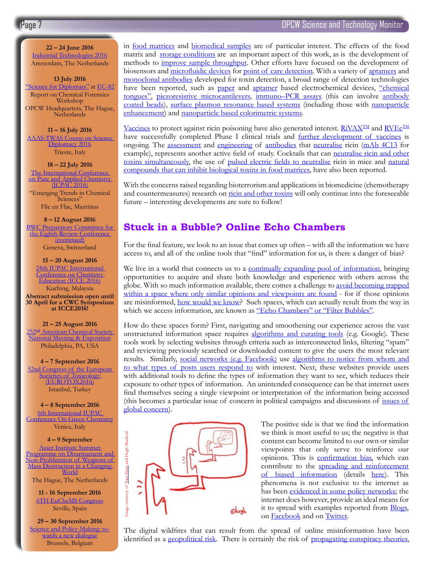**22 – 24 June 2016** [Industrial Technologies 2016](http://www.industrialtechnologies2016.eu/) Amsterdam, The Netherlands

**13 July 2016** ["Science for Diplomats"](https://www.opcw.org/special-sections/science-technology/science-for-diplomats/) at [EC-82](https://www.opcw.org/?id=2623) Report on Chemical Forensics Workshop OPCW Headquarters, The Hague, **Netherlands** 

#### **11 – 16 July 2016**

[AAAS-TWAS Course on Science](http://twas.org/node/11557)  [Diplomacy 2016](http://twas.org/node/11557) Trieste, Italy

**18 – 22 July 2016** [The International Conference](http://sites.uom.ac.mu/icpac2016/)  on Pure and Applied Chemistry [\(ICPAC 2016\)](http://sites.uom.ac.mu/icpac2016/) "Emerging Trends in Chemical Sciences'

Flic en Flac, Mauritius

#### **8 – 12 August 2016**

[BWC Preparatory Committee for](http://www.unog.ch/80256EE600585943/(httpPages)/EA67F4ECEF3FD3C4C1257F39003C1347?OpenDocument)  [the Eighth Review Conference](http://www.unog.ch/80256EE600585943/(httpPages)/EA67F4ECEF3FD3C4C1257F39003C1347?OpenDocument)  [\(continued\)](http://www.unog.ch/80256EE600585943/(httpPages)/EA67F4ECEF3FD3C4C1257F39003C1347?OpenDocument) Geneva, Switzerland

#### **15 – 20 August 2016**

[24th IUPAC International](http://www.icce2016.org.my/)  Conference on Chemistry [Education \(ICCE 2016\)](http://www.icce2016.org.my/) Kuching, Malaysia

**Abstract submission open until 30 April for a CWC Symposium at ICCE2016!**

#### **21 – 25 August 2016**

252<sup>nd</sup> American Chemical Society [National Meeting & Exposition](http://www.acs.org/content/acs/en/meetings/fall-2016.html) Philadelphia, PA, USA

**4 – 7 September 2016** [52nd Congress of the European](http://www.eurotox2016.com/)  Societies of Toxicology [\(EUROTOX2016\)](http://www.eurotox2016.com/) Istanbul, Turkey

#### **4 – 8 September 2016**

[6th International IUPAC](http://www.greeniupac2016.eu/wordpress/)  [Conference On Green Chemistry](http://www.greeniupac2016.eu/wordpress/) Venice, Italy

#### **4 – 9 September**

[Asser Institute Summer](http://www.asser.nl/education-training/summer-programmes-2016/disarmament/)  Programme on Disarmament and [Non-Proliferation of Weapons of](http://www.asser.nl/education-training/summer-programmes-2016/disarmament/)  [Mass Destruction in a Changing](http://www.asser.nl/education-training/summer-programmes-2016/disarmament/)  [World](http://www.asser.nl/education-training/summer-programmes-2016/disarmament/)

The Hague, The Netherlands

**11 - 16 September 2016** [6TH EuCheMS Congress](http://euchems-seville2016.eu/) Seville, Spain

**29 – 30 September 2016** [Science and Policy-Making: to-](http://www.ingsa.org/events/2016-conference/)<br>[wards a new dialogue](http://www.ingsa.org/events/2016-conference/) Brussels, Belgium

in [food matrices](http://www.omicsonline.org/open-access/quantitative-analysis-of-labrine-and-ricinine-spiked-into-selected-food-matrices-by-liquid-chromatographytandem-mass-spectrometry-2157-7064.1000265.php?aid=40426) [and biomedical samples](http://pubs.acs.org/doi/abs/10.1021/acs.analchem.5b01900) are of particular interest. The effects of the food matrix and [storage conditions](http://www.sciencedirect.com/science/article/pii/S0278691515000721) are an important aspect of this work, as is [the development of](http://www.mdpi.com/2072-6651/7/6/2135) [methods to improve sample throughput](http://www.mdpi.com/2072-6651/7/6/2135). Other efforts have focused on the development of biosensors and [microfluidic devices](http://www.sciencedirect.com/science/article/pii/S0925400515300022) for [point of care detection.](http://pubs.rsc.org/en/Content/ArticleLanding/2015/LC/C5LC00178A#!divAbstract) With a variety of [aptamers](http://www.hindawi.com/journals/bmri/2015/419318/) and [monoclonal antibodies](http://link.springer.com/article/10.1007%2Fs11468-015-9969-3) developed for toxin detection, a broad range of detection technologies have been reported, such as [paper](http://pubs.rsc.org/en/Content/ArticleLanding/2015/LC/c5lc00731c#!divAbstract) and [aptamer](http://pubs.rsc.org/En/content/articlelanding/2015/cc/c5cc05933j#!divAbstract) based electrochemical devices, ["chemical](http://pubs.rsc.org/en/Content/ArticleLanding/2015/RA/c5ra08857g#!divAbstract) [tongues"](http://pubs.rsc.org/en/Content/ArticleLanding/2015/RA/c5ra08857g#!divAbstract), [piezoresistive microcantilevers,](http://scitation.aip.org/content/aip/journal/adva/5/4/10.1063/1.4907996) [immuno–PCR assays](http://link.springer.com/protocol/10.1007%2F978-1-4939-2742-5_14) (this can involve [antibody](http://pubs.acs.org/doi/abs/10.1021/acs.analchem.5b00322) [coated beads\)](http://pubs.acs.org/doi/abs/10.1021/acs.analchem.5b00322), [surface plasmon resonance based systems](http://pubs.rsc.org/en/content/articlelanding/2015/ra/c4ra17327a#!divAbstract) (including those with [nanoparticle](http://www.ncbi.nlm.nih.gov/pmc/articles/PMC4385201/) [enhancement\)](http://www.ncbi.nlm.nih.gov/pmc/articles/PMC4385201/) and [nanoparticle based colorimetric systems](http://pubs.rsc.org/en/content/articlelanding/2015/ra/c4ra17327a#!divAbstract).

[Vaccines](http://cvi.asm.org/content/22/12/1285.abstract) to protect against ricin poisoning have also generated interest.  $\overline{RiVAX^{TM}}$  and  $\overline{RVEc^{TM}}$ have successfully completed Phase I clinical trials and [further development of vaccines](http://www.tandfonline.com/doi/abs/10.1586/14760584.2016.1168701?journalCode=ierv20) is ongoing. The [assessment](http://www.sciencedirect.com/science/article/pii/S0022175915001623) and [engineering](http://www.jbc.org/content/290/46/27880.abstract) of [antibodies](http://www.nature.com/articles/srep22721) that [neutralise](http://www.google.com/patents/US20130058962) ricin [\(mAb 4C13](http://www.sciencedirect.com/science/article/pii/S0264410X15009135) for example), represents another active field of study. Cocktails that can [neutralise ricin and other](http://www.sciencedirect.com/science/article/pii/S0041010114003109) [toxins simultaneously,](http://www.sciencedirect.com/science/article/pii/S0041010114003109) the use of [pulsed electric fields to neutralise](http://www.nature.com/articles/srep18781) ricin in mice and [natural](http://www.ncbi.nlm.nih.gov/pmc/articles/PMC3705290/) [compounds that can inhibit biological toxins in food matrices](http://www.ncbi.nlm.nih.gov/pmc/articles/PMC3705290/), have also been reported.

With the concerns raised regarding bioterrorism and applications in biomedicine (chemotherapy and countermeasures) research on [ricin and other toxins](http://www.opcw.org/fileadmin/OPCW/Science_Technology/Biological_Toxins_and_their_Relative_Toxicity_.pdf) will only continue into the foreseeable future – interesting developments are sure to follow!

## **Stuck in a Bubble? Online Echo Chambers**

For the final feature, we look to an issue that comes up often – with all the information we have access to, and all of the online tools that "find" information for us, is there a danger of bias?

We live in a world that connects us to a [continually expanding pool of information](https://web-assets.domo.com/blog/wp-content/uploads/2015/08/15_domo_data-never-sleeps-3_final1.png), bringing opportunities to acquire and share both knowledge and experience with others across the globe. With so much information available, there comes a challenge to [avoid becoming trapped](http://www.wired.co.uk/news/archive/2013-05/1/online-stubbornness) [within a space where only similar opinions and viewpoints are found](http://www.wired.co.uk/news/archive/2013-05/1/online-stubbornness) - for if those opinions are misinformed, [how would we know](http://arxiv.org/abs/1502.07162)? Such spaces, which can actually result from the way in which we access information, are known as ["Echo Chambers" or "Filter Bubbles"](http://www.ted.com/talks/eli_pariser_beware_online_filter_bubbles#t-521408).

How do these spaces form? First, navigating and smoothening our experience across the vast unstructured information space requires [algorithms and curating tools](https://www.google.com/insidesearch/howsearchworks/thestory/) (e.g. Google). These tools work by selecting websites through criteria such as interconnected links, filtering "spam" and reviewing previously searched or downloaded content to give the users the most relevant results. Similarly, [social networks \(e.g. Facebook\)](http://time.com/3950525/facebook-news-feed-algorithm/) use [algorithms to notice from whom and](http://sproutsocial.com/insights/facebook-news-feed-algorithm-guide/) [to what types of posts users respond to](http://sproutsocial.com/insights/facebook-news-feed-algorithm-guide/) with interest. Next, these websites provide users with additional tools to define the types of information they want to see, which reduces their exposure to other types of information. An unintended consequence can be that internet users find themselves seeing a single viewpoint or interpretation of the information being accessed (this becomes a particular issue of concern in political campaigns and discussions of [issues of](http://www.nature.com/nclimate/journal/v5/n8/full/nclimate2732.html) [global concern](http://www.nature.com/nclimate/journal/v5/n8/full/nclimate2732.html)).



The positive side is that we find the information we think is most useful to us; the negative is that content can become limited to our own or similar viewpoints that only serve to reinforce our opinions. This is [confirmation bias](https://www.sciencedaily.com/terms/confirmation_bias.htm), which can contribute to the spreading and reinforcement [of biased information](http://www.iflscience.com/technology/facebook-echo-chambers-help-spread-and-reinforce-misinformation) (details [here](http://www.pnas.org/content/113/3/554)). This phenomena is not exclusive to the internet as has been [evidenced in some policy networks;](http://www.nature.com/nclimate/journal/v5/n8/full/nclimate2666.html#access) the internet does however, provide an ideal means for it to spread with examples reported from **[Blogs](http://comp.social.gatech.edu/papers/hicss09.echo.gilbert.pdf)**, on [Facebook](http://phys.org/news/2016-01-facebook-online-users-views-echo.html) and on [Twitter](http://www.sciencedirect.com/science/article/pii/S0959378015000369). For the speed in some limited to us; the negative is that<br>content can become limited to our own or similar<br>invisions. This is confirmation bias, which can<br>contribute to the <u>spreading and reinforcement</u><br>of Diased informati

The digital wildfires that can result from the spread of online misinformation have been